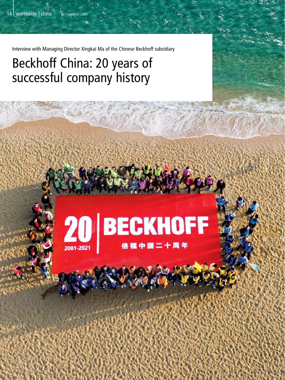Interview with Managing Director Xingkai Ma of the Chinese Beckhoff subsidiary

## Beckhoff China: 20 years of successful company history

# 20 BECKHOFF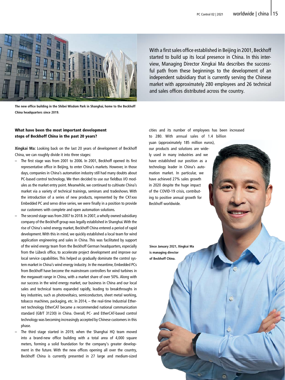

**The new office building in the Shibei Wisdom Park in Shanghai, home to the Beckhoff China headquarters since 2019.**

#### What have been the most important development steps of Beckhoff China in the past 20 years?

**Xingkai Ma:** Looking back on the last 20 years of development of Beckhoff China, we can roughly divide it into three stages:

- The first stage was from 2001 to 2006. In 2001, Beckhoff opened its first representative office in Beijing, to enter China's markets. However, in those days, companies in China's automation industry still had many doubts about PC-based control technology. We then decided to use our fieldbus I/O modules as the market entry point. Meanwhile, we continued to cultivate China's market via a variety of technical trainings, seminars and tradeshows. With the introduction of a series of new products, represented by the CX1xxx Embedded PC and servo drive series, we were finally in a position to provide our customers with complete and open automation solutions.
- The second stage was from 2007 to 2018. In 2007, a wholly owned subsidiary company of the Beckhoff group was legally established in Shanghai. With the rise of China's wind energy market, Beckhoff China entered a period of rapid development. With this in mind, we quickly established a local team for wind application engineering and sales in China. This was facilitated by support of the wind energy team from the Beckhoff German headquarters, especially from the Lübeck office, to accelerate project development and improve our local service capabilities. This helped us gradually dominate the control system market in China's wind energy industry. In the meantime, Embedded PCs from Beckhoff have become the mainstream controllers for wind turbines in the megawatt range in China, with a market share of over 50%. Along with our success in the wind energy market, our business in China and our local sales and technical teams expanded rapidly, leading to breakthroughs in key industries, such as photovoltaics, semiconductors, sheet metal working, tobacco machines, packaging, etc. In 2014, – the real-time Industrial Ethernet technology EtherCAT became a recommended national communication standard (GB/T 31230) in China. Overall, PC- and EtherCAT-based control technology was becoming increasingly accepted by Chinese customers in this phase.
- The third stage started in 2019, when the Shanghai HQ team moved into a brand-new office building with a total area of 4,000 square meters, forming a solid foundation for the company's greater development in the future. With the new offices opening all over the country, Beckhoff China is currently presented in 27 large and medium-sized

With a first sales office established in Beijing in 2001, Beckhoff started to build up its local presence in China. In this interview, Managing Director Xingkai Ma describes the successful path from these beginnings to the development of an independent subsidiary that is currently serving the Chinese market with approximately 280 employees and 26 technical and sales offices distributed across the country.

cities and its number of employees has been increased to 280. With annual sales of 1.4 billion

yuan (approximately 185 million euros), our products and solutions are widely used in many industries and we have established our position as a technology leader in China's automation market. In particular, we have achieved 27% sales growth in 2020 despite the huge impact of the COVID-19 crisis, contributing to positive annual growth for Beckhoff worldwide.

**Since January 2021, Xingkai Ma is managing director of Beckhoff China.**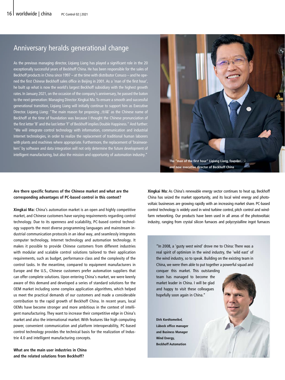### Anniversary heralds generational change

As the previous managing director, Liqiang Liang has played a significant role in the 20 exceptionally successful years of Beckhoff China. He has been responsible for the sales of Beckhoff products in China since 1997 – at the time with distributor Conuco – and he opened the first Chinese Beckhoff sales office in Beijing in 2001. As a 'man of the first hour', he built up what is now the world's largest Beckhoff subsidiary with the highest growth rates. In January 2021, on the occasion of the company's anniversary, he passed the baton to the next generation: Managing Director Xingkai Ma. To ensure a smooth and successful generational transition, Liqiang Liang will initially continue to support him as Executive Director. Liqiang Liang: "The main reason for proposing ,倍福' as the Chinese name of Beckhoff at the time of foundation was because I thought the Chinese pronunciation of the first letter 'B' and the last letter 'F' of Beckhoff implies Double Happiness." And further: "We will integrate control technology with information, communication and industrial Internet technologies, in order to realize the replacement of traditional human laborers with plants and machines where appropriate. Furthermore, the replacement of 'brainworkers' by software and data integration will not only determine the future development of intelligent manufacturing, but also the mission and opportunity of automation industry."

#### **Are there specific features of the Chinese market and what are the corresponding advantages of PC-based control in this context?**

**Xingkai Ma:** China's automation market is an open and highly competitive market, and Chinese customers have varying requirements regarding control technology. Due to its openness and scalability, PC-based control technology supports the most diverse programming languages and mainstream industrial communication protocols in an ideal way, and seamlessly integrates computer technology, Internet technology and automation technology. It makes it possible to provide Chinese customers from different industries with modular and scalable control solutions tailored to their application requirements, such as budget, performance class and the complexity of the control tasks. In the meantime, compared to equipment manufacturers in Europe and the U.S., Chinese customers prefer automation suppliers that can offer complete solutions. Upon entering China's market, we were keenly aware of this demand and developed a series of standard solutions for the OEM market including some complex application algorithms, which helped us meet the practical demands of our customers and made a considerable contribution to the rapid growth of Beckhoff China. In recent years, local OEMs have become stronger and more ambitious in the context of intelligent manufacturing. They want to increase their competitive edge in China's market and also the international market. With features like high computing power, convenient communication and platform interoperability, PC-based control technology provides the technical basis for the realization of Industrie 4.0 and intelligent manufacturing concepts.

**What are the main user industries in China and the related solutions from Beckhoff?**

**Xingkai Ma:** As China's renewable energy sector continues to heat up, Beckhoff China has seized the market opportunity, and its local wind energy and photovoltaic businesses are growing rapidly with an increasing market share. PC-based control technology is widely used in wind turbine control, pitch control and windfarm networking. Our products have been used in all areas of the photovoltaic industry, ranging from crystal silicon furnaces and polycrystalline ingot furnaces

"In 2008, a 'gusty west wind' drove me to China: There was a real spirit of optimism in the wind industry, the 'wild east' of the wind industry, so to speak. Building on the existing team in China, we were then able to put together a powerful squad and

conquer this market. This outstanding team has managed to become the market leader in China. I will be glad and happy to visit these colleagues hopefully soon again in China."

**Dirk Kordtomeikel, Lübeck office manager and Business Manager Wind Energy, Beckhoff Automation**